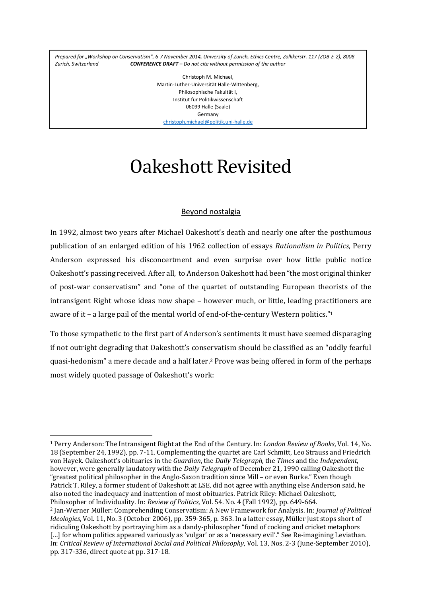Prepared for "Workshop on Conservatism", 6-7 November 2014, University of Zurich, Ethics Centre, Zollikerstr. 117 (ZOB-E-2), 8008 *Zurich, Switzerland CONFERENCE DRAFT – Do not cite without permission of the author*

> Christoph M. Michael, Martin‐Luther‐Universität Halle‐Wittenberg, Philosophische Fakultät I, Institut für Politikwissenschaft 06099 Halle (Saale) Germany christoph.michael@politik.uni‐halle.de

# Oakeshott Revisited

# Beyond nostalgia

In 1992, almost two years after Michael Oakeshott's death and nearly one after the posthumous publication of an enlarged edition of his 1962 collection of essays *Rationalism in Politics*, Perry Anderson expressed his disconcertment and even surprise over how little public notice Oakeshott's passing received. After all, to Anderson Oakeshott had been "the most original thinker of post-war conservatism" and "one of the quartet of outstanding European theorists of the intransigent Right whose ideas now shape – however much, or little, leading practitioners are aware of it – a large pail of the mental world of end-of-the-century Western politics."<sup>1</sup>

To those sympathetic to the first part of Anderson's sentiments it must have seemed disparaging if not outright degrading that Oakeshott's conservatism should be classified as an "oddly fearful quasi-hedonism" a mere decade and a half later.<sup>2</sup> Prove was being offered in form of the perhaps most widely quoted passage of Oakeshott's work:

<sup>&</sup>lt;sup>1</sup> Perry Anderson: The Intransigent Right at the End of the Century. In: *London Review of Books*, Vol. 14, No. 18 (September 24, 1992), pp. 7-11. Complementing the quartet are Carl Schmitt, Leo Strauss and Friedrich von Hayek. Oakeshott's obituaries in the *Guardian*, the *Daily Telegraph*, the *Times* and the *Independent*, however, were generally laudatory with the *Daily Telegraph* of December 21, 1990 calling Oakeshott the "greatest political philosopher in the Anglo-Saxon tradition since Mill – or even Burke." Even though Patrick T. Riley, a former student of Oakeshott at LSE, did not agree with anything else Anderson said, he also noted the inadequacy and inattention of most obituaries. Patrick Riley: Michael Oakeshott, Philosopher of Individuality. In: *Review of Politics*, Vol. 54. No. 4 (Fall 1992), pp. 649-664. 2 Jan‐Werner Müller: Comprehending Conservatism: A New Framework for Analysis. In: *Journal of Political Ideologies*, Vol. 11, No. 3 (October 2006), pp. 359-365, p. 363. In a latter essay, Müller just stops short of ridiculing Oakeshott by portraying him as a dandy-philosopher "fond of cocking and cricket metaphors" […] for whom politics appeared variously as 'vulgar' or as a 'necessary evil'." See Re-imagining Leviathan. In: *Critical Review of International Social and Political Philosophy*, Vol. 13, Nos. 2‐3 (June‐September 2010), pp. 317‐336, direct quote at pp. 317‐18.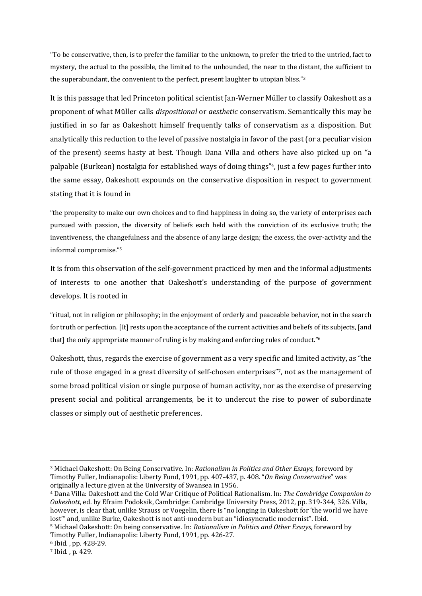"To be conservative, then, is to prefer the familiar to the unknown, to prefer the tried to the untried, fact to mystery, the actual to the possible, the limited to the unbounded, the near to the distant, the sufficient to the superabundant, the convenient to the perfect, present laughter to utopian bliss."3

It is this passage that led Princeton political scientist Ian-Werner Müller to classify Oakeshott as a proponent of what Müller calls *dispositional* or *aesthetic* conservatism. Semantically this may be justified in so far as Oakeshott himself frequently talks of conservatism as a disposition. But analytically this reduction to the level of passive nostalgia in favor of the past (or a peculiar vision of the present) seems hasty at best. Though Dana Villa and others have also picked up on "a palpable (Burkean) nostalgia for established ways of doing things"<sup>4</sup>, just a few pages further into the same essay, Oakeshott expounds on the conservative disposition in respect to government stating that it is found in

"the propensity to make our own choices and to find happiness in doing so, the variety of enterprises each pursued with passion, the diversity of beliefs each held with the conviction of its exclusive truth; the inventiveness, the changefulness and the absence of any large design; the excess, the over-activity and the informal compromise."<sup>5</sup>

It is from this observation of the self-government practiced by men and the informal adjustments of interests to one another that Oakeshott's understanding of the purpose of government develops. It is rooted in

"ritual, not in religion or philosophy; in the enjoyment of orderly and peaceable behavior, not in the search for truth or perfection. [It] rests upon the acceptance of the current activities and beliefs of its subjects, [and that] the only appropriate manner of ruling is by making and enforcing rules of conduct."<sup>6</sup>

Oakeshott, thus, regards the exercise of government as a very specific and limited activity, as "the rule of those engaged in a great diversity of self-chosen enterprises", not as the management of some broad political vision or single purpose of human activity, nor as the exercise of preserving present social and political arrangements, be it to undercut the rise to power of subordinate classes or simply out of aesthetic preferences.

5 Michael Oakeshott: On being conservative. In: *Rationalism in Politics and Other Essays*, foreword by Timothy Fuller, Indianapolis: Liberty Fund, 1991, pp. 426-27.

<sup>3</sup> Michael Oakeshott: On Being Conservative. In: *Rationalism in Politics and Other Essays*, foreword by Timothy Fuller, Indianapolis: Liberty Fund, 1991, pp. 407-437, p. 408. "On Being Conservative" was originally a lecture given at the University of Swansea in 1956.

<sup>4</sup> Dana Villa: Oakeshott and the Cold War Critique of Political Rationalism. In: *The Cambridge Companion to* Oakeshott, ed. by Efraim Podoksik, Cambridge: Cambridge University Press, 2012, pp. 319-344, 326. Villa, however, is clear that, unlike Strauss or Voegelin, there is "no longing in Oakeshott for 'the world we have lost'" and, unlike Burke, Oakeshott is not anti-modern but an "idiosyncratic modernist". Ibid.

<sup>6</sup> Ibid. , pp. 428‐29. 

<sup>7</sup> Ibid. , p. 429.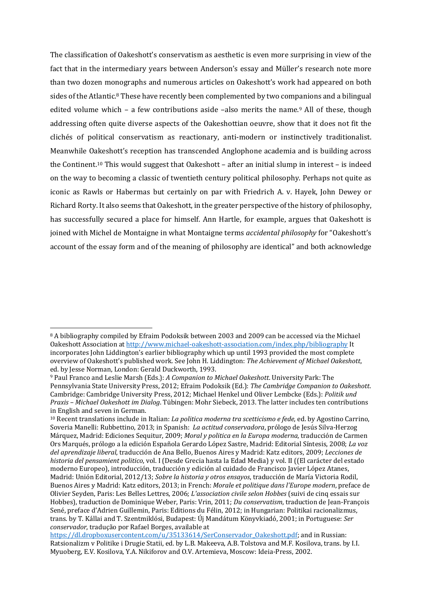The classification of Oakeshott's conservatism as aesthetic is even more surprising in view of the fact that in the intermediary years between Anderson's essay and Müller's research note more than two dozen monographs and numerous articles on Oakeshott's work had appeared on both sides of the Atlantic.<sup>8</sup> These have recently been complemented by two companions and a bilingual edited volume which – a few contributions aside –also merits the name.<sup>9</sup> All of these, though addressing often quite diverse aspects of the Oakeshottian oeuvre, show that it does not fit the clichés of political conservatism as reactionary, anti-modern or instinctively traditionalist. Meanwhile Oakeshott's reception has transcended Anglophone academia and is building across the Continent.<sup>10</sup> This would suggest that Oakeshott – after an initial slump in interest – is indeed on the way to becoming a classic of twentieth century political philosophy. Perhaps not quite as iconic as Rawls or Habermas but certainly on par with Friedrich A. v. Hayek, John Dewey or Richard Rorty. It also seems that Oakeshott, in the greater perspective of the history of philosophy, has successfully secured a place for himself. Ann Hartle, for example, argues that Oakeshott is joined with Michel de Montaigne in what Montaigne terms *accidental philosophy* for "Oakeshott's account of the essay form and of the meaning of philosophy are identical" and both acknowledge

<sup>&</sup>lt;sup>8</sup> A bibliography compiled by Efraim Podoksik between 2003 and 2009 can be accessed via the Michael Oakeshott Association at http://www.michael-oakeshott-association.com/index.php/bibliography It incorporates John Liddington's earlier bibliography which up until 1993 provided the most complete overview of Oakeshott's published work. See John H. Liddington: *The Achievement of Michael Oakeshott*, ed. by Jesse Norman, London: Gerald Duckworth, 1993.

<sup>9</sup> Paul Franco and Leslie Marsh (Eds.): *A Companion to Michael Oakeshott*. University Park: The Pennsylvania State University Press, 2012; Efraim Podoksik (Ed.): *The Cambridge Companion to Oakeshott*. Cambridge: Cambridge University Press, 2012; Michael Henkel und Oliver Lembcke (Eds.): *Politik und Praxis – Michael Oakeshott im Dialog*. Tübingen: Mohr Siebeck, 2013. The latter includes ten contributions in English and seven in German.

<sup>&</sup>lt;sup>10</sup> Recent translations include in Italian: *La politica moderna tra scetticismo e fede*, ed. by Agostino Carrino, Soveria Manelli: Rubbettino, 2013; in Spanish: *La actitud conservadora*, prólogo de Jesús Silva-Herzog Márquez, Madrid: Ediciones Sequitur, 2009; *Moral y politica en la Europa moderna*, traducción de Carmen Ors Marqués, prólogo a la edición Española Gerardo López Sastre, Madrid: Editorial Síntesis, 2008; *La voz del aprendizaje liberal*, traducción de Ana Bello, Buenos Aires y Madrid: Katz editors, 2009; *Lecciones de historia del pensamient politico*, vol. I (Desde Grecia hasta la Edad Media) y vol. II ((El carácter del estado moderno Europeo), introducción, traducción y edición al cuidado de Francisco Javier López Atanes, Madrid: Unión Editorial, 2012/13; *Sobre la historia y otros ensayos*, traducción de María Victoria Rodil, Buenos Aires y Madrid: Katz editors, 2013; in French: *Morale et politique dans l'Europe modern*, preface de Olivier Seyden, Paris: Les Belles Lettres, 2006; *L'association civile selon Hobbes* (suivi de cinq essais sur Hobbes), traduction de Dominique Weber, Paris: Vrin, 2011; *Du conservatism*, traduction de Jean-François Sené, preface d'Adrien Guillemin, Paris: Editions du Félin, 2012; in Hungarian: Politikai racionalizmus, trans. by T. Kállai and T. Szentmiklósi, Budapest: Új Mandátum Könyvkiadó, 2001; in Portuguese: *Ser conservador*, tradução por Rafael Borges, available at

https://dl.dropboxusercontent.com/u/35133614/SerConservador\_Oakeshott.pdf; and in Russian: Ratsionalizm v Politike i Drugie Statii, ed. by L.B. Makeeva, A.B. Tolstova and M.F. Kosilova, trans. by I.I. Myuoberg, E.V. Kosilova, Y.A. Nikiforov and O.V. Artemieva, Moscow: Ideia-Press, 2002.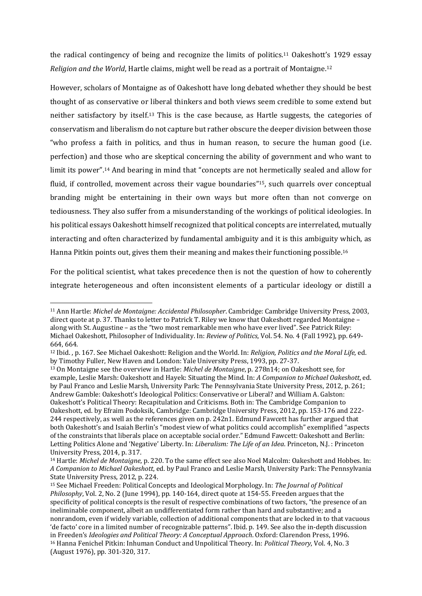the radical contingency of being and recognize the limits of politics.<sup>11</sup> Oakeshott's 1929 essay *Religion and the World*, Hartle claims, might well be read as a portrait of Montaigne.<sup>12</sup>

However, scholars of Montaigne as of Oakeshott have long debated whether they should be best thought of as conservative or liberal thinkers and both views seem credible to some extend but neither satisfactory by itself.<sup>13</sup> This is the case because, as Hartle suggests, the categories of conservatism and liberalism do not capture but rather obscure the deeper division between those "who profess a faith in politics, and thus in human reason, to secure the human good (i.e. perfection) and those who are skeptical concerning the ability of government and who want to limit its power".<sup>14</sup> And bearing in mind that "concepts are not hermetically sealed and allow for fluid, if controlled, movement across their vague boundaries"<sup>15</sup>, such quarrels over conceptual branding might be entertaining in their own ways but more often than not converge on tediousness. They also suffer from a misunderstanding of the workings of political ideologies. In his political essays Oakeshott himself recognized that political concepts are interrelated, mutually interacting and often characterized by fundamental ambiguity and it is this ambiguity which, as Hanna Pitkin points out, gives them their meaning and makes their functioning possible.<sup>16</sup>

For the political scientist, what takes precedence then is not the question of how to coherently integrate heterogeneous and often inconsistent elements of a particular ideology or distill a

 11 Ann Hartle: *Michel de Montaigne: Accidental Philosopher*. Cambridge: Cambridge University Press, 2003, direct quote at p. 37. Thanks to letter to Patrick T. Riley we know that Oakeshott regarded Montaigne along with St. Augustine – as the "two most remarkable men who have ever lived". See Patrick Riley: Michael Oakeshott, Philosopher of Individuality. In: *Review of Politics*, Vol. 54. No. 4 (Fall 1992), pp. 649-664.

<sup>&</sup>lt;sup>12</sup> Ibid., p. 167. See Michael Oakeshott: Religion and the World. In: *Religion, Politics and the Moral Life*, ed. by Timothy Fuller, New Haven and London: Yale University Press, 1993, pp. 27-37.

<sup>&</sup>lt;sup>13</sup> On Montaigne see the overview in Hartle: *Michel de Montaigne*, p. 278n14; on Oakeshott see, for example, Leslie Marsh: Oakeshott and Hayek: Situating the Mind. In: *A Companion to Michael Oakeshott*, ed. by Paul Franco and Leslie Marsh, University Park: The Pennsylvania State University Press, 2012, p. 261; Andrew Gamble: Oakeshott's Ideological Politics: Conservative or Liberal? and William A. Galston: Oakeshott's Political Theory: Recapitulation and Criticisms. Both in: The Cambridge Companion to Oakeshott, ed. by Efraim Podoksik, Cambridge: Cambridge University Press, 2012, pp. 153-176 and 222-244 respectively, as well as the references given on p. 242n1. Edmund Fawcett has further argued that both Oakeshott's and Isaiah Berlin's "modest view of what politics could accomplish" exemplified "aspects of the constraints that liberals place on acceptable social order." Edmund Fawcett: Oakeshott and Berlin: Letting Politics Alone and 'Negative' Liberty. In: *Liberalism: The Life of an Idea*. Princeton, N.J.: Princeton University Press, 2014, p. 317.

<sup>&</sup>lt;sup>14</sup> Hartle: *Michel de Montaigne*, p. 220. To the same effect see also Noel Malcolm: Oakeshott and Hobbes. In: *A Companion to Michael Oakeshott*, ed. by Paul Franco and Leslie Marsh, University Park: The Pennsylvania State University Press, 2012, p. 224.

<sup>15</sup> See Michael Freeden: Political Concepts and Ideological Morphology. In: *The Journal of Political Philosophy*, Vol. 2, No. 2 (June 1994), pp. 140-164, direct quote at 154-55. Freeden argues that the specificity of political concepts is the result of respective combinations of two factors, "the presence of an ineliminable component, albeit an undifferentiated form rather than hard and substantive; and a nonrandom, even if widely variable, collection of additional components that are locked in to that vacuous 'de facto' core in a limited number of recognizable patterns". Ibid. p. 149. See also the in-depth discussion in Freeden's *Ideologies and Political Theory: A Conceptual Approach*. Oxford: Clarendon Press, 1996. <sup>16</sup> Hanna Fenichel Pitkin: Inhuman Conduct and Unpolitical Theory. In: *Political Theory*, Vol. 4, No. 3 (August 1976), pp. 301-320, 317.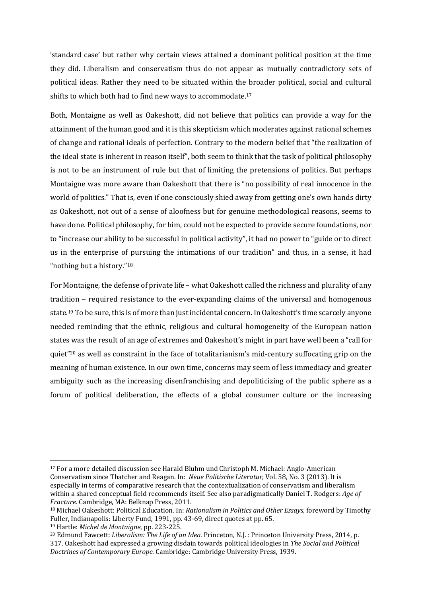'standard case' but rather why certain views attained a dominant political position at the time they did. Liberalism and conservatism thus do not appear as mutually contradictory sets of political ideas. Rather they need to be situated within the broader political, social and cultural shifts to which both had to find new ways to accommodate.<sup>17</sup>

Both, Montaigne as well as Oakeshott, did not believe that politics can provide a way for the attainment of the human good and it is this skepticism which moderates against rational schemes of change and rational ideals of perfection. Contrary to the modern belief that "the realization of the ideal state is inherent in reason itself", both seem to think that the task of political philosophy is not to be an instrument of rule but that of limiting the pretensions of politics. But perhaps Montaigne was more aware than Oakeshott that there is "no possibility of real innocence in the world of politics." That is, even if one consciously shied away from getting one's own hands dirty as Oakeshott, not out of a sense of aloofness but for genuine methodological reasons, seems to have done. Political philosophy, for him, could not be expected to provide secure foundations, nor to "increase our ability to be successful in political activity", it had no power to "guide or to direct" us in the enterprise of pursuing the intimations of our tradition" and thus, in a sense, it had "nothing but a history."<sup>18</sup>

For Montaigne, the defense of private life – what Oakeshott called the richness and plurality of any tradition – required resistance to the ever-expanding claims of the universal and homogenous state.<sup>19</sup> To be sure, this is of more than just incidental concern. In Oakeshott's time scarcely anyone needed reminding that the ethnic, religious and cultural homogeneity of the European nation states was the result of an age of extremes and Oakeshott's might in part have well been a "call for quiet"<sup>20</sup> as well as constraint in the face of totalitarianism's mid-century suffocating grip on the meaning of human existence. In our own time, concerns may seem of less immediacy and greater ambiguity such as the increasing disenfranchising and depoliticizing of the public sphere as a forum of political deliberation, the effects of a global consumer culture or the increasing

 $17$  For a more detailed discussion see Harald Bluhm und Christoph M. Michael: Anglo-American Conservatism since Thatcher and Reagan. In: *Neue Politische Literatur*, Vol. 58, No. 3 (2013). It is especially in terms of comparative research that the contextualization of conservatism and liberalism within a shared conceptual field recommends itself. See also paradigmatically Daniel T. Rodgers: *Age of Fracture*. Cambridge, MA: Belknap Press, 2011.

<sup>18</sup> Michael Oakeshott: Political Education. In: *Rationalism in Politics and Other Essays*, foreword by Timothy Fuller, Indianapolis: Liberty Fund, 1991, pp. 43-69, direct quotes at pp. 65.

<sup>19</sup> Hartle: *Michel de Montaigne*, pp. 223‐225. 

<sup>20</sup> Edmund Fawcett: *Liberalism: The Life of an Idea*. Princeton, N.J. : Princeton University Press, 2014, p. 317. Oakeshott had expressed a growing disdain towards political ideologies in *The Social and Political Doctrines of Contemporary Europe*. Cambridge: Cambridge University Press, 1939.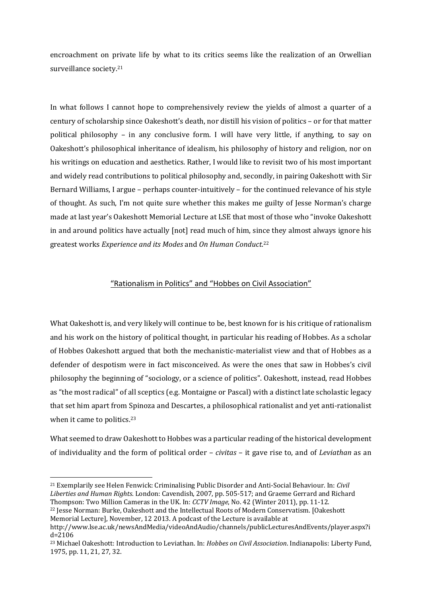encroachment on private life by what to its critics seems like the realization of an Orwellian surveillance society.<sup>21</sup>

In what follows I cannot hope to comprehensively review the yields of almost a quarter of a century of scholarship since Oakeshott's death, nor distill his vision of politics – or for that matter political philosophy - in any conclusive form. I will have very little, if anything, to say on Oakeshott's philosophical inheritance of idealism, his philosophy of history and religion, nor on his writings on education and aesthetics. Rather, I would like to revisit two of his most important and widely read contributions to political philosophy and, secondly, in pairing Oakeshott with Sir Bernard Williams, I argue – perhaps counter-intuitively – for the continued relevance of his style of thought. As such, I'm not quite sure whether this makes me guilty of Jesse Norman's charge made at last year's Oakeshott Memorial Lecture at LSE that most of those who "invoke Oakeshott in and around politics have actually [not] read much of him, since they almost always ignore his greatest works *Experience and its Modes* and *On Human Conduct*.<sup>22</sup>

# "Rationalism in Politics" and "Hobbes on Civil Association"

What Oakeshott is, and very likely will continue to be, best known for is his critique of rationalism and his work on the history of political thought, in particular his reading of Hobbes. As a scholar of Hobbes Oakeshott argued that both the mechanistic-materialist view and that of Hobbes as a defender of despotism were in fact misconceived. As were the ones that saw in Hobbes's civil philosophy the beginning of "sociology, or a science of politics". Oakeshott, instead, read Hobbes as "the most radical" of all sceptics (e.g. Montaigne or Pascal) with a distinct late scholastic legacy that set him apart from Spinoza and Descartes, a philosophical rationalist and yet anti-rationalist when it came to politics. $23$ 

What seemed to draw Oakeshott to Hobbes was a particular reading of the historical development of individuality and the form of political order – *civitas* – it gave rise to, and of *Leviathan* as an

<sup>&</sup>lt;sup>21</sup> Exemplarily see Helen Fenwick: Criminalising Public Disorder and Anti-Social Behaviour. In: *Civil* Liberties and *Human Rights*. London: Cavendish, 2007, pp. 505-517; and Graeme Gerrard and Richard Thompson: Two Million Cameras in the UK. In: *CCTV Image*, No. 42 (Winter 2011), pp. 11-12.

<sup>&</sup>lt;sup>22</sup> Jesse Norman: Burke, Oakeshott and the Intellectual Roots of Modern Conservatism. [Oakeshott Memorial Lecturel, November, 12 2013. A podcast of the Lecture is available at

http://www.lse.ac.uk/newsAndMedia/videoAndAudio/channels/publicLecturesAndEvents/player.aspx?i d=2106 

<sup>23</sup> Michael Oakeshott: Introduction to Leviathan. In: *Hobbes on Civil Association*. Indianapolis: Liberty Fund, 1975, pp. 11, 21, 27, 32.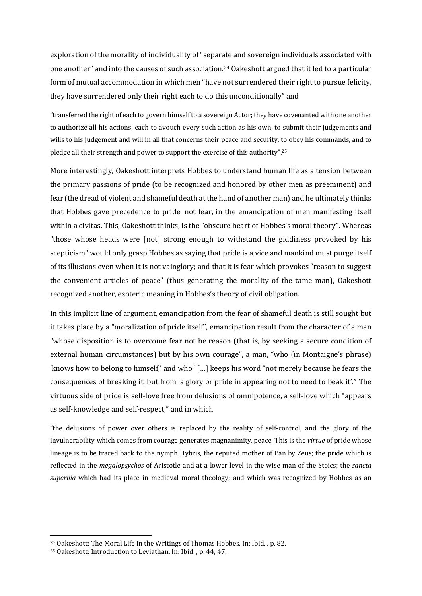exploration of the morality of individuality of "separate and sovereign individuals associated with one another" and into the causes of such association.<sup>24</sup> Oakeshott argued that it led to a particular form of mutual accommodation in which men "have not surrendered their right to pursue felicity, they have surrendered only their right each to do this unconditionally" and

"transferred the right of each to govern himself to a sovereign Actor; they have covenanted with one another to authorize all his actions, each to avouch every such action as his own, to submit their judgements and wills to his judgement and will in all that concerns their peace and security, to obey his commands, and to pledge all their strength and power to support the exercise of this authority".<sup>25</sup>

More interestingly, Oakeshott interprets Hobbes to understand human life as a tension between the primary passions of pride (to be recognized and honored by other men as preeminent) and fear (the dread of violent and shameful death at the hand of another man) and he ultimately thinks that Hobbes gave precedence to pride, not fear, in the emancipation of men manifesting itself within a civitas. This, Oakeshott thinks, is the "obscure heart of Hobbes's moral theory". Whereas "those whose heads were [not] strong enough to withstand the giddiness provoked by his scepticism" would only grasp Hobbes as saying that pride is a vice and mankind must purge itself of its illusions even when it is not vainglory; and that it is fear which provokes "reason to suggest the convenient articles of peace" (thus generating the morality of the tame man), Oakeshott recognized another, esoteric meaning in Hobbes's theory of civil obligation.

In this implicit line of argument, emancipation from the fear of shameful death is still sought but it takes place by a "moralization of pride itself", emancipation result from the character of a man "whose disposition is to overcome fear not be reason (that is, by seeking a secure condition of external human circumstances) but by his own courage", a man, "who (in Montaigne's phrase) 'knows how to belong to himself,' and who"  $\lceil \ldots \rceil$  keeps his word "not merely because he fears the consequences of breaking it, but from 'a glory or pride in appearing not to need to beak it'." The virtuous side of pride is self-love free from delusions of omnipotence, a self-love which "appears" as self-knowledge and self-respect," and in which

"the delusions of power over others is replaced by the reality of self-control, and the glory of the invulnerability which comes from courage generates magnanimity, peace. This is the *virtue* of pride whose lineage is to be traced back to the nymph Hybris, the reputed mother of Pan by Zeus; the pride which is reflected in the *megalopsychos* of Aristotle and at a lower level in the wise man of the Stoics; the *sancta superbia* which had its place in medieval moral theology; and which was recognized by Hobbes as an

<sup>&</sup>lt;sup>24</sup> Oakeshott: The Moral Life in the Writings of Thomas Hobbes. In: Ibid., p. 82.

<sup>&</sup>lt;sup>25</sup> Oakeshott: Introduction to Leviathan. In: Ibid., p. 44, 47.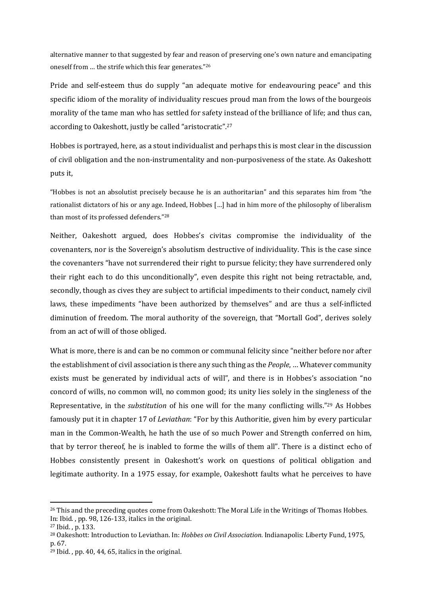alternative manner to that suggested by fear and reason of preserving one's own nature and emancipating oneself from ... the strife which this fear generates."26

Pride and self-esteem thus do supply "an adequate motive for endeavouring peace" and this specific idiom of the morality of individuality rescues proud man from the lows of the bourgeois morality of the tame man who has settled for safety instead of the brilliance of life; and thus can, according to Oakeshott, justly be called "aristocratic".<sup>27</sup>

Hobbes is portrayed, here, as a stout individualist and perhaps this is most clear in the discussion of civil obligation and the non-instrumentality and non-purposiveness of the state. As Oakeshott puts it,

"Hobbes is not an absolutist precisely because he is an authoritarian" and this separates him from "the rationalist dictators of his or any age. Indeed, Hobbes [...] had in him more of the philosophy of liberalism than most of its professed defenders."28

Neither, Oakeshott argued, does Hobbes's civitas compromise the individuality of the covenanters, nor is the Sovereign's absolutism destructive of individuality. This is the case since the covenanters "have not surrendered their right to pursue felicity; they have surrendered only their right each to do this unconditionally", even despite this right not being retractable, and, secondly, though as cives they are subject to artificial impediments to their conduct, namely civil laws, these impediments "have been authorized by themselves" and are thus a self-inflicted diminution of freedom. The moral authority of the sovereign, that "Mortall God", derives solely from an act of will of those obliged.

What is more, there is and can be no common or communal felicity since "neither before nor after the establishment of civil association is there any such thing as the *People*, ... Whatever community exists must be generated by individual acts of will", and there is in Hobbes's association "no concord of wills, no common will, no common good; its unity lies solely in the singleness of the Representative, in the *substitution* of his one will for the many conflicting wills."<sup>29</sup> As Hobbes famously put it in chapter 17 of *Leviathan*: "For by this Authoritie, given him by every particular man in the Common-Wealth, he hath the use of so much Power and Strength conferred on him, that by terror thereof, he is inabled to forme the wills of them all". There is a distinct echo of Hobbes consistently present in Oakeshott's work on questions of political obligation and legitimate authority. In a 1975 essay, for example, Oakeshott faults what he perceives to have

 $26$  This and the preceding quotes come from Oakeshott: The Moral Life in the Writings of Thomas Hobbes. In: Ibid., pp. 98, 126-133, italics in the original.

<sup>&</sup>lt;sup>27</sup> Ibid. . p. 133.

<sup>&</sup>lt;sup>28</sup> Oakeshott: Introduction to Leviathan. In: *Hobbes on Civil Association*. Indianapolis: Liberty Fund, 1975, p. 67. 

 $29$  Ibid., pp. 40, 44, 65, italics in the original.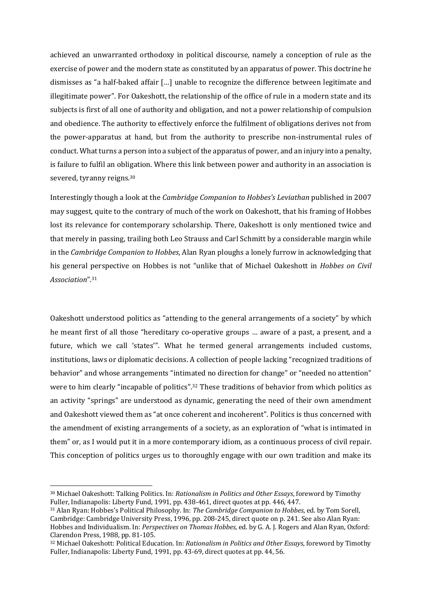achieved an unwarranted orthodoxy in political discourse, namely a conception of rule as the exercise of power and the modern state as constituted by an apparatus of power. This doctrine he dismisses as "a half-baked affair [...] unable to recognize the difference between legitimate and illegitimate power". For Oakeshott, the relationship of the office of rule in a modern state and its subjects is first of all one of authority and obligation, and not a power relationship of compulsion and obedience. The authority to effectively enforce the fulfilment of obligations derives not from the power-apparatus at hand, but from the authority to prescribe non-instrumental rules of conduct. What turns a person into a subject of the apparatus of power, and an injury into a penalty, is failure to fulfil an obligation. Where this link between power and authority in an association is severed, tyranny reigns.<sup>30</sup>

Interestingly though a look at the *Cambridge Companion to Hobbes's Leviathan* published in 2007 may suggest, quite to the contrary of much of the work on Oakeshott, that his framing of Hobbes lost its relevance for contemporary scholarship. There, Oakeshott is only mentioned twice and that merely in passing, trailing both Leo Strauss and Carl Schmitt by a considerable margin while in the *Cambridge Companion to Hobbes*, Alan Ryan ploughs a lonely furrow in acknowledging that his general perspective on Hobbes is not "unlike that of Michael Oakeshott in *Hobbes on Civil Association*".31

Oakeshott understood politics as "attending to the general arrangements of a society" by which he meant first of all those "hereditary co-operative groups ... aware of a past, a present, and a future, which we call 'states'". What he termed general arrangements included customs, institutions, laws or diplomatic decisions. A collection of people lacking "recognized traditions of behavior" and whose arrangements "intimated no direction for change" or "needed no attention" were to him clearly "incapable of politics".<sup>32</sup> These traditions of behavior from which politics as an activity "springs" are understood as dynamic, generating the need of their own amendment and Oakeshott viewed them as "at once coherent and incoherent". Politics is thus concerned with the amendment of existing arrangements of a society, as an exploration of "what is intimated in them" or, as I would put it in a more contemporary idiom, as a continuous process of civil repair. This conception of politics urges us to thoroughly engage with our own tradition and make its

<sup>30</sup> Michael Oakeshott: Talking Politics. In: *Rationalism in Politics and Other Essays*, foreword by Timothy Fuller, Indianapolis: Liberty Fund, 1991, pp. 438-461, direct quotes at pp. 446, 447.

<sup>31</sup> Alan Ryan: Hobbes's Political Philosophy. In: *The Cambridge Companion to Hobbes*, ed. by Tom Sorell, Cambridge: Cambridge University Press, 1996, pp. 208-245, direct quote on p. 241. See also Alan Ryan: Hobbes and Individualism. In: *Perspectives on Thomas Hobbes*, ed. by G. A. J. Rogers and Alan Ryan, Oxford: Clarendon Press, 1988, pp. 81-105.

<sup>32</sup> Michael Oakeshott: Political Education. In: *Rationalism in Politics and Other Essays*, foreword by Timothy Fuller, Indianapolis: Liberty Fund, 1991, pp. 43-69, direct quotes at pp. 44, 56.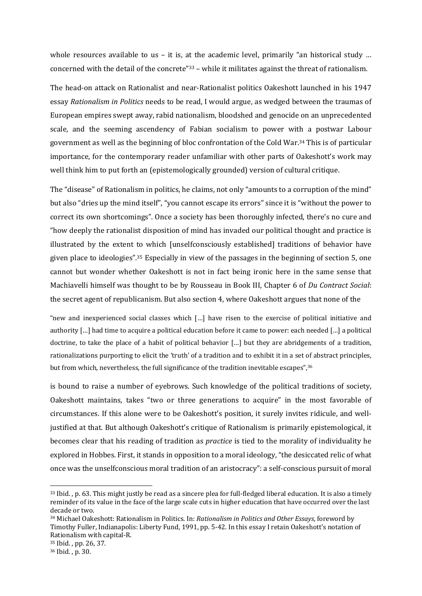whole resources available to us – it is, at the academic level, primarily "an historical study ... concerned with the detail of the concrete" $33$  – while it militates against the threat of rationalism.

The head-on attack on Rationalist and near-Rationalist politics Oakeshott launched in his 1947 essay *Rationalism in Politics* needs to be read, I would argue, as wedged between the traumas of European empires swept away, rabid nationalism, bloodshed and genocide on an unprecedented scale, and the seeming ascendency of Fabian socialism to power with a postwar Labour government as well as the beginning of bloc confrontation of the Cold War.<sup>34</sup> This is of particular importance, for the contemporary reader unfamiliar with other parts of Oakeshott's work may well think him to put forth an (epistemologically grounded) version of cultural critique.

The "disease" of Rationalism in politics, he claims, not only "amounts to a corruption of the mind" but also "dries up the mind itself", "you cannot escape its errors" since it is "without the power to correct its own shortcomings". Once a society has been thoroughly infected, there's no cure and "how deeply the rationalist disposition of mind has invaded our political thought and practice is illustrated by the extent to which [unselfconsciously established] traditions of behavior have given place to ideologies".<sup>35</sup> Especially in view of the passages in the beginning of section 5, one cannot but wonder whether Oakeshott is not in fact being ironic here in the same sense that Machiavelli himself was thought to be by Rousseau in Book III, Chapter 6 of *Du Contract Social*: the secret agent of republicanism. But also section 4, where Oakeshott argues that none of the

"new and inexperienced social classes which  $\lceil ... \rceil$  have risen to the exercise of political initiative and authority  $[\ldots]$  had time to acquire a political education before it came to power: each needed  $[\ldots]$  a political doctrine, to take the place of a habit of political behavior  $\lceil \ldots \rceil$  but they are abridgements of a tradition, rationalizations purporting to elicit the 'truth' of a tradition and to exhibit it in a set of abstract principles, but from which, nevertheless, the full significance of the tradition inevitable escapes",<sup>36</sup>

is bound to raise a number of eyebrows. Such knowledge of the political traditions of society, Oakeshott maintains, takes "two or three generations to acquire" in the most favorable of circumstances. If this alone were to be Oakeshott's position, it surely invites ridicule, and welljustified at that. But although Oakeshott's critique of Rationalism is primarily epistemological, it becomes clear that his reading of tradition as *practice* is tied to the morality of individuality he explored in Hobbes. First, it stands in opposition to a moral ideology, "the desiccated relic of what once was the unselfconscious moral tradition of an aristocracy": a self-conscious pursuit of moral

 $33$  Ibid. , p. 63. This might justly be read as a sincere plea for full-fledged liberal education. It is also a timely reminder of its value in the face of the large scale cuts in higher education that have occurred over the last decade or two.

<sup>34</sup> Michael Oakeshott: Rationalism in Politics. In: *Rationalism in Politics and Other Essays*, foreword by Timothy Fuller, Indianapolis: Liberty Fund, 1991, pp. 5-42. In this essay I retain Oakeshott's notation of Rationalism with capital-R.

<sup>&</sup>lt;sup>35</sup> Ibid., pp. 26, 37.

<sup>36</sup> Ibid. , p. 30.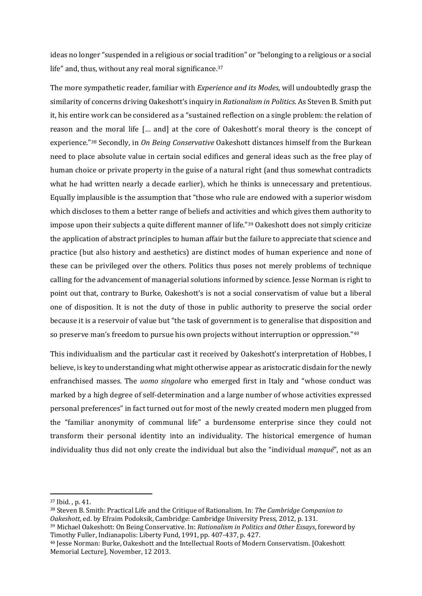ideas no longer "suspended in a religious or social tradition" or "belonging to a religious or a social life" and, thus, without any real moral significance.<sup>37</sup>

The more sympathetic reader, familiar with *Experience and its Modes*, will undoubtedly grasp the similarity of concerns driving Oakeshott's inquiry in *Rationalism* in *Politics*. As Steven B. Smith put it, his entire work can be considered as a "sustained reflection on a single problem: the relation of reason and the moral life [... and] at the core of Oakeshott's moral theory is the concept of experience."<sup>38</sup> Secondly, in *On Being Conservative* Oakeshott distances himself from the Burkean need to place absolute value in certain social edifices and general ideas such as the free play of human choice or private property in the guise of a natural right (and thus somewhat contradicts what he had written nearly a decade earlier), which he thinks is unnecessary and pretentious. Equally implausible is the assumption that "those who rule are endowed with a superior wisdom which discloses to them a better range of beliefs and activities and which gives them authority to impose upon their subjects a quite different manner of life."39 Oakeshott does not simply criticize the application of abstract principles to human affair but the failure to appreciate that science and practice (but also history and aesthetics) are distinct modes of human experience and none of these can be privileged over the others. Politics thus poses not merely problems of technique calling for the advancement of managerial solutions informed by science. Jesse Norman is right to point out that, contrary to Burke, Oakeshott's is not a social conservatism of value but a liberal one of disposition. It is not the duty of those in public authority to preserve the social order because it is a reservoir of value but "the task of government is to generalise that disposition and so preserve man's freedom to pursue his own projects without interruption or oppression."<sup>40</sup>

This individualism and the particular cast it received by Oakeshott's interpretation of Hobbes, I believe, is key to understanding what might otherwise appear as aristocratic disdain for the newly enfranchised masses. The *uomo singolare* who emerged first in Italy and "whose conduct was marked by a high degree of self-determination and a large number of whose activities expressed personal preferences" in fact turned out for most of the newly created modern men plugged from the "familiar anonymity of communal life" a burdensome enterprise since they could not transform their personal identity into an individuality. The historical emergence of human individuality thus did not only create the individual but also the "individual *manqué*", not as an

<sup>&</sup>lt;sup>37</sup> Ibid., p. 41.

<sup>38</sup> Steven B. Smith: Practical Life and the Critique of Rationalism. In: *The Cambridge Companion to* Oakeshott, ed. by Efraim Podoksik, Cambridge: Cambridge University Press, 2012, p. 131. 39 Michael Oakeshott: On Being Conservative. In: *Rationalism in Politics and Other Essays*, foreword by 

Timothy Fuller, Indianapolis: Liberty Fund, 1991, pp. 407-437, p. 427. <sup>40</sup> Jesse Norman: Burke, Oakeshott and the Intellectual Roots of Modern Conservatism. [Oakeshott Memorial Lecture], November, 12 2013.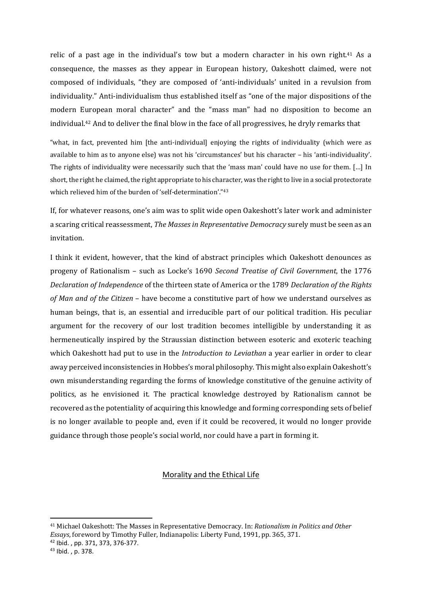relic of a past age in the individual's tow but a modern character in his own right.<sup>41</sup> As a consequence, the masses as they appear in European history, Oakeshott claimed, were not composed of individuals, "they are composed of 'anti-individuals' united in a revulsion from individuality." Anti-individualism thus established itself as "one of the major dispositions of the modern European moral character" and the "mass man" had no disposition to become an individual.<sup>42</sup> And to deliver the final blow in the face of all progressives, he dryly remarks that

"what, in fact, prevented him [the anti-individual] enjoying the rights of individuality (which were as available to him as to anyone else) was not his 'circumstances' but his character – his 'anti-individuality'. The rights of individuality were necessarily such that the 'mass man' could have no use for them. [...] In short, the right he claimed, the right appropriate to his character, was the right to live in a social protectorate which relieved him of the burden of 'self-determination'."43

If, for whatever reasons, one's aim was to split wide open Oakeshott's later work and administer a scaring critical reassessment, *The Masses in Representative Democracy* surely must be seen as an invitation.

I think it evident, however, that the kind of abstract principles which Oakeshott denounces as progeny of Rationalism - such as Locke's 1690 Second Treatise of Civil Government, the 1776 *Declaration of Independence* of the thirteen state of America or the 1789 *Declaration of the Rights of Man and of the Citizen* – have become a constitutive part of how we understand ourselves as human beings, that is, an essential and irreducible part of our political tradition. His peculiar argument for the recovery of our lost tradition becomes intelligible by understanding it as hermeneutically inspired by the Straussian distinction between esoteric and exoteric teaching which Oakeshott had put to use in the *Introduction* to *Leviathan* a year earlier in order to clear away perceived inconsistencies in Hobbes's moral philosophy. This might also explain Oakeshott's own misunderstanding regarding the forms of knowledge constitutive of the genuine activity of politics, as he envisioned it. The practical knowledge destroyed by Rationalism cannot be recovered as the potentiality of acquiring this knowledge and forming corresponding sets of belief is no longer available to people and, even if it could be recovered, it would no longer provide guidance through those people's social world, nor could have a part in forming it.

#### Morality and the Ethical Life

<sup>41</sup> Michael Oakeshott: The Masses in Representative Democracy. In: *Rationalism in Politics and Other Essays*, foreword by Timothy Fuller, Indianapolis: Liberty Fund, 1991, pp. 365, 371. <sup>42</sup> Ibid. , pp. 371, 373, 376‐377.

<sup>43</sup> Ibid. , p. 378.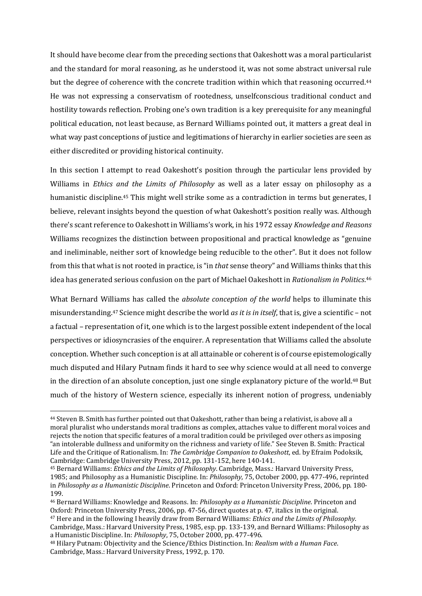It should have become clear from the preceding sections that Oakeshott was a moral particularist and the standard for moral reasoning, as he understood it, was not some abstract universal rule but the degree of coherence with the concrete tradition within which that reasoning occurred.<sup>44</sup> He was not expressing a conservatism of rootedness, unselfconscious traditional conduct and hostility towards reflection. Probing one's own tradition is a key prerequisite for any meaningful political education, not least because, as Bernard Williams pointed out, it matters a great deal in what way past conceptions of justice and legitimations of hierarchy in earlier societies are seen as either discredited or providing historical continuity.

In this section I attempt to read Oakeshott's position through the particular lens provided by Williams in *Ethics* and *the Limits of Philosophy* as well as a later essay on philosophy as a humanistic discipline.<sup>45</sup> This might well strike some as a contradiction in terms but generates, I believe, relevant insights beyond the question of what Oakeshott's position really was. Although there's scant reference to Oakeshott in Williams's work, in his 1972 essay *Knowledge and Reasons* Williams recognizes the distinction between propositional and practical knowledge as "genuine" and ineliminable, neither sort of knowledge being reducible to the other". But it does not follow from this that what is not rooted in practice, is "in *that* sense theory" and Williams thinks that this idea has generated serious confusion on the part of Michael Oakeshott in *Rationalism in Politics*.<sup>46</sup>

What Bernard Williams has called the *absolute conception* of the world helps to illuminate this misunderstanding.<sup>47</sup> Science might describe the world *as it is in itself*, that is, give a scientific – not a factual – representation of it, one which is to the largest possible extent independent of the local perspectives or idiosyncrasies of the enquirer. A representation that Williams called the absolute conception. Whether such conception is at all attainable or coherent is of course epistemologically much disputed and Hilary Putnam finds it hard to see why science would at all need to converge in the direction of an absolute conception, just one single explanatory picture of the world.<sup>48</sup> But much of the history of Western science, especially its inherent notion of progress, undeniably

<sup>&</sup>lt;sup>44</sup> Steven B. Smith has further pointed out that Oakeshott, rather than being a relativist, is above all a moral pluralist who understands moral traditions as complex, attaches value to different moral voices and rejects the notion that specific features of a moral tradition could be privileged over others as imposing "an intolerable dullness and uniformity on the richness and variety of life." See Steven B. Smith: Practical Life and the Critique of Rationalism. In: *The Cambridge Companion to Oakeshott*, ed. by Efraim Podoksik, Cambridge: Cambridge University Press, 2012, pp. 131-152, here 140-141.

<sup>45</sup> Bernard Williams: *Ethics and the Limits of Philosophy*. Cambridge, Mass.: Harvard University Press, 1985; and Philosophy as a Humanistic Discipline. In: *Philosophy*, 75, October 2000, pp. 477‐496, reprinted in *Philosophy as a Humanistic Discipline*. Princeton and Oxford: Princeton University Press, 2006, pp. 180-199. 

<sup>&</sup>lt;sup>46</sup> Bernard Williams: Knowledge and Reasons. In: *Philosophy as a Humanistic Discipline*. Princeton and Oxford: Princeton University Press, 2006, pp. 47-56, direct quotes at p. 47, italics in the original. 47 Here and in the following I heavily draw from Bernard Williams: *Ethics and the Limits of Philosophy*. 

Cambridge, Mass.: Harvard University Press, 1985, esp. pp. 133-139, and Bernard Williams: Philosophy as a Humanistic Discipline. In: *Philosophy*, 75, October 2000, pp. 477-496.

<sup>48</sup> Hilary Putnam: Objectivity and the Science/Ethics Distinction. In: *Realism with a Human Face*. Cambridge, Mass.: Harvard University Press, 1992, p. 170.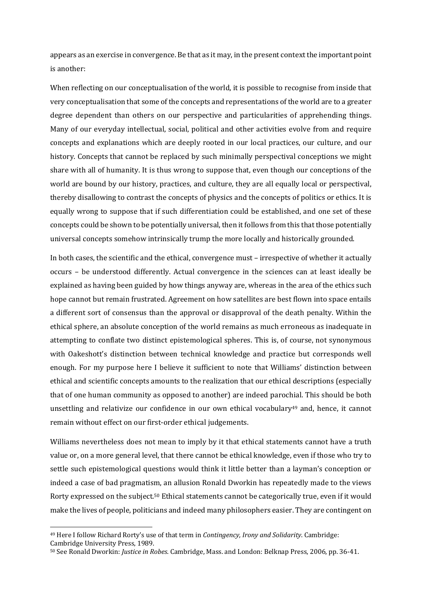appears as an exercise in convergence. Be that as it may, in the present context the important point is another:

When reflecting on our conceptualisation of the world, it is possible to recognise from inside that very conceptualisation that some of the concepts and representations of the world are to a greater degree dependent than others on our perspective and particularities of apprehending things. Many of our everyday intellectual, social, political and other activities evolve from and require concepts and explanations which are deeply rooted in our local practices, our culture, and our history. Concepts that cannot be replaced by such minimally perspectival conceptions we might share with all of humanity. It is thus wrong to suppose that, even though our conceptions of the world are bound by our history, practices, and culture, they are all equally local or perspectival, thereby disallowing to contrast the concepts of physics and the concepts of politics or ethics. It is equally wrong to suppose that if such differentiation could be established, and one set of these concepts could be shown to be potentially universal, then it follows from this that those potentially universal concepts somehow intrinsically trump the more locally and historically grounded.

In both cases, the scientific and the ethical, convergence must – irrespective of whether it actually occurs – be understood differently. Actual convergence in the sciences can at least ideally be explained as having been guided by how things anyway are, whereas in the area of the ethics such hope cannot but remain frustrated. Agreement on how satellites are best flown into space entails a different sort of consensus than the approval or disapproval of the death penalty. Within the ethical sphere, an absolute conception of the world remains as much erroneous as inadequate in attempting to conflate two distinct epistemological spheres. This is, of course, not synonymous with Oakeshott's distinction between technical knowledge and practice but corresponds well enough. For my purpose here I believe it sufficient to note that Williams' distinction between ethical and scientific concepts amounts to the realization that our ethical descriptions (especially that of one human community as opposed to another) are indeed parochial. This should be both unsettling and relativize our confidence in our own ethical vocabulary<sup>49</sup> and, hence, it cannot remain without effect on our first-order ethical judgements.

Williams nevertheless does not mean to imply by it that ethical statements cannot have a truth value or, on a more general level, that there cannot be ethical knowledge, even if those who try to settle such epistemological questions would think it little better than a layman's conception or indeed a case of bad pragmatism, an allusion Ronald Dworkin has repeatedly made to the views Rorty expressed on the subject.<sup>50</sup> Ethical statements cannot be categorically true, even if it would make the lives of people, politicians and indeed many philosophers easier. They are contingent on

<sup>&</sup>lt;sup>49</sup> Here I follow Richard Rorty's use of that term in *Contingency, Irony and Solidarity*. Cambridge:

Cambridge University Press, 1989.

<sup>50</sup> See Ronald Dworkin: *Justice in Robes*. Cambridge, Mass. and London: Belknap Press, 2006, pp. 36-41.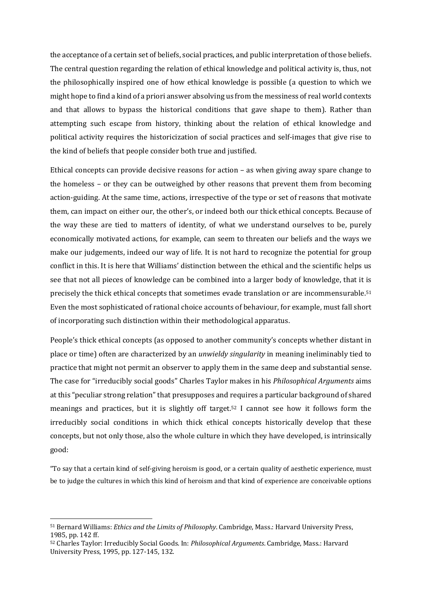the acceptance of a certain set of beliefs, social practices, and public interpretation of those beliefs. The central question regarding the relation of ethical knowledge and political activity is, thus, not the philosophically inspired one of how ethical knowledge is possible (a question to which we might hope to find a kind of a priori answer absolving us from the messiness of real world contexts and that allows to bypass the historical conditions that gave shape to them). Rather than attempting such escape from history, thinking about the relation of ethical knowledge and political activity requires the historicization of social practices and self-images that give rise to the kind of beliefs that people consider both true and justified.

Ethical concepts can provide decisive reasons for action  $-$  as when giving away spare change to the homeless – or they can be outweighed by other reasons that prevent them from becoming action-guiding. At the same time, actions, irrespective of the type or set of reasons that motivate them, can impact on either our, the other's, or indeed both our thick ethical concepts. Because of the way these are tied to matters of identity, of what we understand ourselves to be, purely economically motivated actions, for example, can seem to threaten our beliefs and the ways we make our judgements, indeed our way of life. It is not hard to recognize the potential for group conflict in this. It is here that Williams' distinction between the ethical and the scientific helps us see that not all pieces of knowledge can be combined into a larger body of knowledge, that it is precisely the thick ethical concepts that sometimes evade translation or are incommensurable.<sup>51</sup> Even the most sophisticated of rational choice accounts of behaviour, for example, must fall short of incorporating such distinction within their methodological apparatus.

People's thick ethical concepts (as opposed to another community's concepts whether distant in place or time) often are characterized by an *unwieldy singularity* in meaning ineliminably tied to practice that might not permit an observer to apply them in the same deep and substantial sense. The case for "irreducibly social goods" Charles Taylor makes in his *Philosophical Arguments* aims at this "peculiar strong relation" that presupposes and requires a particular background of shared meanings and practices, but it is slightly off target.<sup>52</sup> I cannot see how it follows form the irreducibly social conditions in which thick ethical concepts historically develop that these concepts, but not only those, also the whole culture in which they have developed, is intrinsically good: 

"To say that a certain kind of self-giving heroism is good, or a certain quality of aesthetic experience, must be to judge the cultures in which this kind of heroism and that kind of experience are conceivable options

<sup>51</sup> Bernard Williams: *Ethics and the Limits of Philosophy*. Cambridge, Mass.: Harvard University Press, 1985, pp. 142 ff.

<sup>52</sup> Charles Taylor: Irreducibly Social Goods. In: *Philosophical Arguments*. Cambridge, Mass.: Harvard University Press, 1995, pp. 127-145, 132.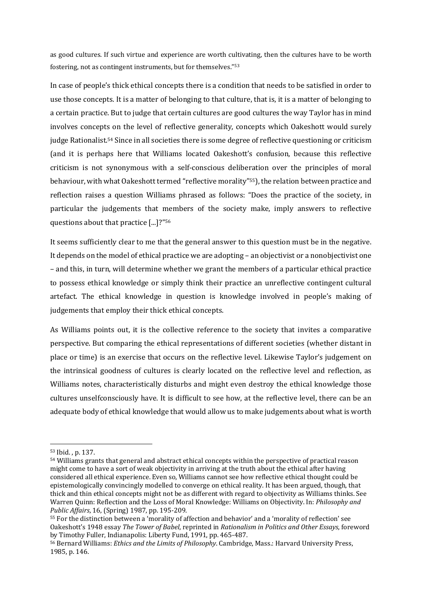as good cultures. If such virtue and experience are worth cultivating, then the cultures have to be worth fostering, not as contingent instruments, but for themselves."<sup>53</sup>

In case of people's thick ethical concepts there is a condition that needs to be satisfied in order to use those concepts. It is a matter of belonging to that culture, that is, it is a matter of belonging to a certain practice. But to judge that certain cultures are good cultures the way Taylor has in mind involves concepts on the level of reflective generality, concepts which Oakeshott would surely judge Rationalist.<sup>54</sup> Since in all societies there is some degree of reflective questioning or criticism (and it is perhaps here that Williams located Oakeshott's confusion, because this reflective criticism is not synonymous with a self-conscious deliberation over the principles of moral behaviour, with what Oakeshott termed "reflective morality"<sup>55</sup>), the relation between practice and reflection raises a question Williams phrased as follows: "Does the practice of the society, in particular the judgements that members of the society make, imply answers to reflective questions about that practice  $\left[ \ldots \right]$ ?"<sup>56</sup>

It seems sufficiently clear to me that the general answer to this question must be in the negative. It depends on the model of ethical practice we are adopting – an objectivist or a nonobjectivist one – and this, in turn, will determine whether we grant the members of a particular ethical practice to possess ethical knowledge or simply think their practice an unreflective contingent cultural artefact. The ethical knowledge in question is knowledge involved in people's making of judgements that employ their thick ethical concepts.

As Williams points out, it is the collective reference to the society that invites a comparative perspective. But comparing the ethical representations of different societies (whether distant in place or time) is an exercise that occurs on the reflective level. Likewise Taylor's judgement on the intrinsical goodness of cultures is clearly located on the reflective level and reflection, as Williams notes, characteristically disturbs and might even destroy the ethical knowledge those cultures unselfconsciously have. It is difficult to see how, at the reflective level, there can be an adequate body of ethical knowledge that would allow us to make judgements about what is worth

<sup>53</sup> Ibid., p. 137.

<sup>&</sup>lt;sup>54</sup> Williams grants that general and abstract ethical concepts within the perspective of practical reason might come to have a sort of weak objectivity in arriving at the truth about the ethical after having considered all ethical experience. Even so, Williams cannot see how reflective ethical thought could be epistemologically convincingly modelled to converge on ethical reality. It has been argued, though, that thick and thin ethical concepts might not be as different with regard to objectivity as Williams thinks. See Warren Quinn: Reflection and the Loss of Moral Knowledge: Williams on Objectivity. In: *Philosophy and Public Affairs*, 16, (Spring) 1987, pp. 195-209.

<sup>&</sup>lt;sup>55</sup> For the distinction between a 'morality of affection and behavior' and a 'morality of reflection' see Oakeshott's 1948 essay *The Tower of Babel*, reprinted in *Rationalism in Politics and Other Essays*, foreword by Timothy Fuller, Indianapolis: Liberty Fund, 1991, pp. 465-487.

<sup>56</sup> Bernard Williams: *Ethics and the Limits of Philosophy*. Cambridge, Mass.: Harvard University Press, 1985, p. 146.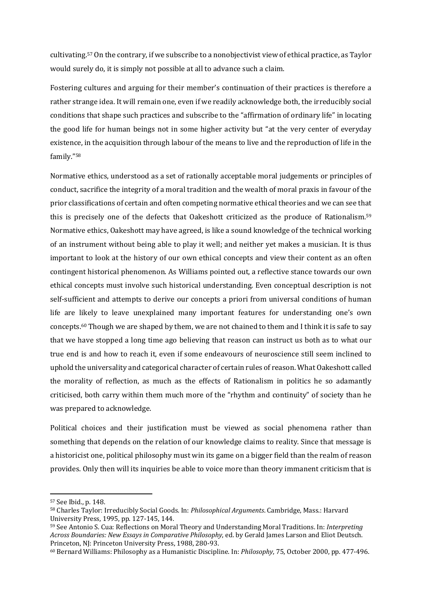cultivating.<sup>57</sup> On the contrary, if we subscribe to a nonobjectivist view of ethical practice, as Taylor would surely do, it is simply not possible at all to advance such a claim.

Fostering cultures and arguing for their member's continuation of their practices is therefore a rather strange idea. It will remain one, even if we readily acknowledge both, the irreducibly social conditions that shape such practices and subscribe to the "affirmation of ordinary life" in locating the good life for human beings not in some higher activity but "at the very center of everyday existence, in the acquisition through labour of the means to live and the reproduction of life in the family."58 

Normative ethics, understood as a set of rationally acceptable moral judgements or principles of conduct, sacrifice the integrity of a moral tradition and the wealth of moral praxis in favour of the prior classifications of certain and often competing normative ethical theories and we can see that this is precisely one of the defects that Oakeshott criticized as the produce of Rationalism.<sup>59</sup> Normative ethics, Oakeshott may have agreed, is like a sound knowledge of the technical working of an instrument without being able to play it well; and neither yet makes a musician. It is thus important to look at the history of our own ethical concepts and view their content as an often contingent historical phenomenon. As Williams pointed out, a reflective stance towards our own ethical concepts must involve such historical understanding. Even conceptual description is not self-sufficient and attempts to derive our concepts a priori from universal conditions of human life are likely to leave unexplained many important features for understanding one's own concepts.<sup>60</sup> Though we are shaped by them, we are not chained to them and I think it is safe to say that we have stopped a long time ago believing that reason can instruct us both as to what our true end is and how to reach it, even if some endeavours of neuroscience still seem inclined to uphold the universality and categorical character of certain rules of reason. What Oakeshott called the morality of reflection, as much as the effects of Rationalism in politics he so adamantly criticised, both carry within them much more of the "rhythm and continuity" of society than he was prepared to acknowledge.

Political choices and their justification must be viewed as social phenomena rather than something that depends on the relation of our knowledge claims to reality. Since that message is a historicist one, political philosophy must win its game on a bigger field than the realm of reason provides. Only then will its inquiries be able to voice more than theory immanent criticism that is

<sup>&</sup>lt;sup>57</sup> See Ibid., p. 148.

<sup>58</sup> Charles Taylor: Irreducibly Social Goods. In: *Philosophical Arguments*. Cambridge, Mass.: Harvard University Press, 1995, pp. 127-145, 144.

<sup>&</sup>lt;sup>59</sup> See Antonio S. Cua: Reflections on Moral Theory and Understanding Moral Traditions. In: *Interpreting Across Boundaries: New Essays in Comparative Philosophy*, ed. by Gerald James Larson and Eliot Deutsch. Princeton, NJ: Princeton University Press, 1988, 280-93.

<sup>60</sup> Bernard Williams: Philosophy as a Humanistic Discipline. In: *Philosophy*, 75, October 2000, pp. 477-496.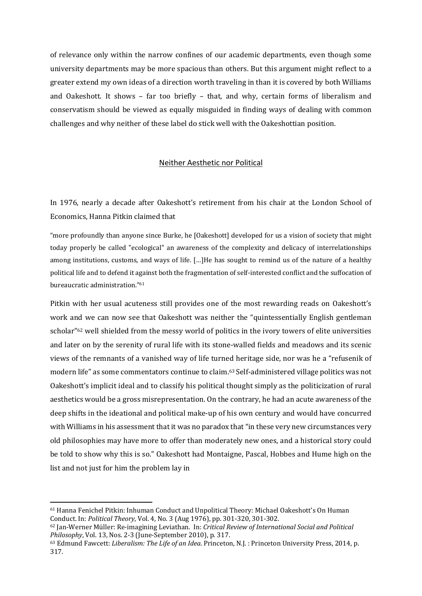of relevance only within the narrow confines of our academic departments, even though some university departments may be more spacious than others. But this argument might reflect to a greater extend my own ideas of a direction worth traveling in than it is covered by both Williams and Oakeshott. It shows – far too briefly – that, and why, certain forms of liberalism and conservatism should be viewed as equally misguided in finding ways of dealing with common challenges and why neither of these label do stick well with the Oakeshottian position.

# Neither Aesthetic nor Political

In 1976, nearly a decade after Oakeshott's retirement from his chair at the London School of Economics, Hanna Pitkin claimed that

"more profoundly than anyone since Burke, he [Oakeshott] developed for us a vision of society that might today properly be called "ecological" an awareness of the complexity and delicacy of interrelationships among institutions, customs, and ways of life. [...]He has sought to remind us of the nature of a healthy political life and to defend it against both the fragmentation of self-interested conflict and the suffocation of bureaucratic administration."<sup>61</sup>

Pitkin with her usual acuteness still provides one of the most rewarding reads on Oakeshott's work and we can now see that Oakeshott was neither the "quintessentially English gentleman scholar"<sup>62</sup> well shielded from the messy world of politics in the ivory towers of elite universities and later on by the serenity of rural life with its stone-walled fields and meadows and its scenic views of the remnants of a vanished way of life turned heritage side, nor was he a "refusenik of modern life" as some commentators continue to claim.<sup>63</sup> Self-administered village politics was not Oakeshott's implicit ideal and to classify his political thought simply as the politicization of rural aesthetics would be a gross misrepresentation. On the contrary, he had an acute awareness of the deep shifts in the ideational and political make-up of his own century and would have concurred with Williams in his assessment that it was no paradox that "in these very new circumstances very old philosophies may have more to offer than moderately new ones, and a historical story could be told to show why this is so." Oakeshott had Montaigne, Pascal, Hobbes and Hume high on the list and not just for him the problem lay in

<sup>&</sup>lt;sup>61</sup> Hanna Fenichel Pitkin: Inhuman Conduct and Unpolitical Theory: Michael Oakeshott's On Human Conduct. In: *Political Theory*, Vol. 4, No. 3 (Aug 1976), pp. 301‐320, 301‐302. 

<sup>62</sup> Jan‐Werner Müller: Re‐imagining Leviathan. In: *Critical Review of International Social and Political Philosophy*, Vol. 13, Nos. 2-3 (June-September 2010), p. 317.

<sup>63</sup> Edmund Fawcett: *Liberalism: The Life of an Idea*. Princeton, N.J. : Princeton University Press, 2014, p. 317.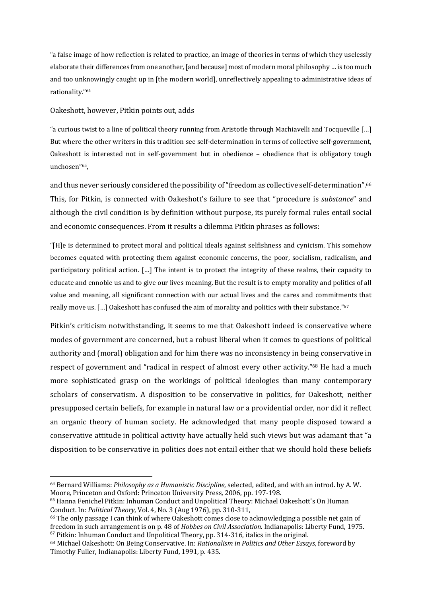"a false image of how reflection is related to practice, an image of theories in terms of which they uselessly elaborate their differences from one another, [and because] most of modern moral philosophy ... is too much and too unknowingly caught up in [the modern world], unreflectively appealing to administrative ideas of rationality."64 

# Oakeshott, however, Pitkin points out, adds

"a curious twist to a line of political theory running from Aristotle through Machiavelli and Tocqueville [...] But where the other writers in this tradition see self-determination in terms of collective self-government, Oakeshott is interested not in self-government but in obedience – obedience that is obligatory tough unchosen"65, 

and thus never seriously considered the possibility of "freedom as collective self-determination".<sup>66</sup> This, for Pitkin, is connected with Oakeshott's failure to see that "procedure is *substance*" and although the civil condition is by definition without purpose, its purely formal rules entail social and economic consequences. From it results a dilemma Pitkin phrases as follows:

"[H]e is determined to protect moral and political ideals against selfishness and cynicism. This somehow becomes equated with protecting them against economic concerns, the poor, socialism, radicalism, and participatory political action. […] The intent is to protect the integrity of these realms, their capacity to educate and ennoble us and to give our lives meaning. But the result is to empty morality and politics of all value and meaning, all significant connection with our actual lives and the cares and commitments that really move us. [...] Oakeshott has confused the aim of morality and politics with their substance."67

Pitkin's criticism notwithstanding, it seems to me that Oakeshott indeed is conservative where modes of government are concerned, but a robust liberal when it comes to questions of political authority and (moral) obligation and for him there was no inconsistency in being conservative in respect of government and "radical in respect of almost every other activity."<sup>68</sup> He had a much more sophisticated grasp on the workings of political ideologies than many contemporary scholars of conservatism. A disposition to be conservative in politics, for Oakeshott, neither presupposed certain beliefs, for example in natural law or a providential order, nor did it reflect an organic theory of human society. He acknowledged that many people disposed toward a conservative attitude in political activity have actually held such views but was adamant that "a disposition to be conservative in politics does not entail either that we should hold these beliefs

<sup>64</sup> Bernard Williams: *Philosophy as a Humanistic Discipline*, selected, edited, and with an introd. by A. W. Moore, Princeton and Oxford: Princeton University Press, 2006, pp. 197-198.

<sup>&</sup>lt;sup>65</sup> Hanna Fenichel Pitkin: Inhuman Conduct and Unpolitical Theory: Michael Oakeshott's On Human Conduct. In: *Political Theory*, Vol. 4, No. 3 (Aug 1976), pp. 310‐311, 

 $66$  The only passage I can think of where Oakeshott comes close to acknowledging a possible net gain of freedom in such arrangement is on p. 48 of *Hobbes on Civil Association*. Indianapolis: Liberty Fund, 1975.  $67$  Pitkin: Inhuman Conduct and Unpolitical Theory, pp. 314-316, italics in the original.

<sup>68</sup> Michael Oakeshott: On Being Conservative. In: *Rationalism in Politics and Other Essays*, foreword by Timothy Fuller, Indianapolis: Liberty Fund, 1991, p. 435.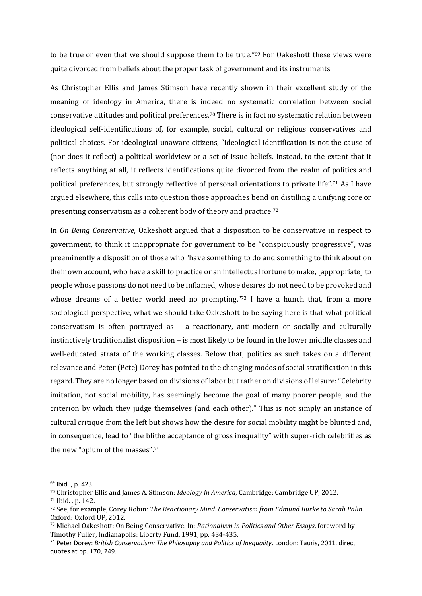to be true or even that we should suppose them to be true."<sup>69</sup> For Oakeshott these views were quite divorced from beliefs about the proper task of government and its instruments.

As Christopher Ellis and James Stimson have recently shown in their excellent study of the meaning of ideology in America, there is indeed no systematic correlation between social conservative attitudes and political preferences.<sup>70</sup> There is in fact no systematic relation between ideological self-identifications of, for example, social, cultural or religious conservatives and political choices. For ideological unaware citizens, "ideological identification is not the cause of (nor does it reflect) a political worldview or a set of issue beliefs. Instead, to the extent that it reflects anything at all, it reflects identifications quite divorced from the realm of politics and political preferences, but strongly reflective of personal orientations to private life".<sup>71</sup> As I have argued elsewhere, this calls into question those approaches bend on distilling a unifying core or presenting conservatism as a coherent body of theory and practice.<sup>72</sup>

In *On Being Conservative*, Oakeshott argued that a disposition to be conservative in respect to government, to think it inappropriate for government to be "conspicuously progressive", was preeminently a disposition of those who "have something to do and something to think about on their own account, who have a skill to practice or an intellectual fortune to make, [appropriate] to people whose passions do not need to be inflamed, whose desires do not need to be provoked and whose dreams of a better world need no prompting."73 I have a hunch that, from a more sociological perspective, what we should take Oakeshott to be saying here is that what political conservatism is often portrayed as  $-$  a reactionary, anti-modern or socially and culturally instinctively traditionalist disposition – is most likely to be found in the lower middle classes and well-educated strata of the working classes. Below that, politics as such takes on a different relevance and Peter (Pete) Dorey has pointed to the changing modes of social stratification in this regard. They are no longer based on divisions of labor but rather on divisions of leisure: "Celebrity" imitation, not social mobility, has seemingly become the goal of many poorer people, and the criterion by which they judge themselves (and each other)." This is not simply an instance of cultural critique from the left but shows how the desire for social mobility might be blunted and, in consequence, lead to "the blithe acceptance of gross inequality" with super-rich celebrities as the new "opium of the masses".74

<sup>69</sup> Ibid. , p. 423.

<sup>&</sup>lt;sup>70</sup> Christopher Ellis and James A. Stimson: *Ideology in America*, Cambridge: Cambridge UP, 2012.

<sup>71</sup> Ibid. . p. 142.

<sup>72</sup> See, for example, Corey Robin: *The Reactionary Mind. Conservatism from Edmund Burke to Sarah Palin*. Oxford: Oxford UP, 2012.

<sup>73</sup> Michael Oakeshott: On Being Conservative. In: *Rationalism in Politics and Other Essays*, foreword by Timothy Fuller, Indianapolis: Liberty Fund, 1991, pp. 434-435.

<sup>74</sup> Peter Dorey: *British Conservatism: The Philosophy and Politics of Inequality*. London: Tauris, 2011, direct quotes at pp. 170, 249.